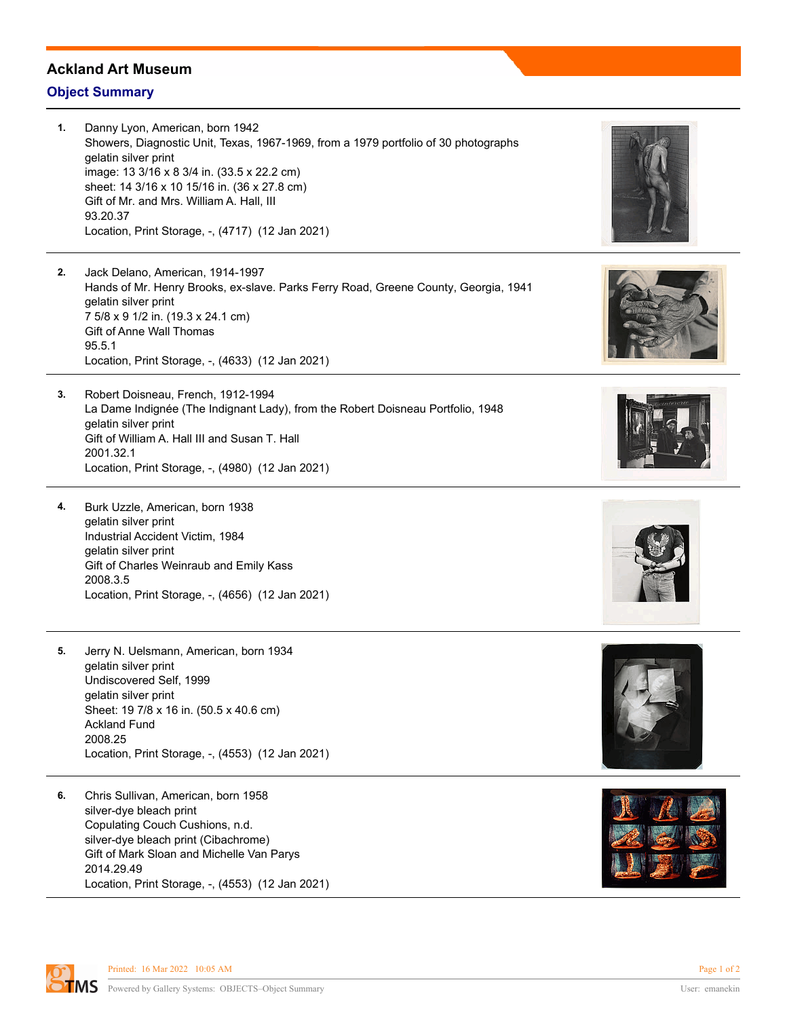## **Ackland Art Museum**

## **Object Summary**

- **1.** Danny Lyon, American, born 1942 Showers, Diagnostic Unit, Texas, 1967-1969, from a 1979 portfolio of 30 photographs gelatin silver print image: 13 3/16 x 8 3/4 in. (33.5 x 22.2 cm) sheet: 14 3/16 x 10 15/16 in. (36 x 27.8 cm) Gift of Mr. and Mrs. William A. Hall, III 93.20.37 Location, Print Storage, -, (4717) (12 Jan 2021)
- **2.** Jack Delano, American, 1914-1997 Hands of Mr. Henry Brooks, ex-slave. Parks Ferry Road, Greene County, Georgia, 1941 gelatin silver print 7 5/8 x 9 1/2 in. (19.3 x 24.1 cm) Gift of Anne Wall Thomas 95.5.1 Location, Print Storage, -, (4633) (12 Jan 2021)
- **3.** Robert Doisneau, French, 1912-1994 La Dame Indignée (The Indignant Lady), from the Robert Doisneau Portfolio, 1948 gelatin silver print Gift of William A. Hall III and Susan T. Hall 2001.32.1 Location, Print Storage, -, (4980) (12 Jan 2021)
- **4.** Burk Uzzle, American, born 1938 gelatin silver print Industrial Accident Victim, 1984 gelatin silver print Gift of Charles Weinraub and Emily Kass 2008.3.5 Location, Print Storage, -, (4656) (12 Jan 2021)
- **5.** Jerry N. Uelsmann, American, born 1934 gelatin silver print Undiscovered Self, 1999 gelatin silver print Sheet: 19 7/8 x 16 in. (50.5 x 40.6 cm) Ackland Fund 2008.25 Location, Print Storage, -, (4553) (12 Jan 2021)
- **6.** Chris Sullivan, American, born 1958 silver-dye bleach print Copulating Couch Cushions, n.d. silver-dye bleach print (Cibachrome) Gift of Mark Sloan and Michelle Van Parys 2014.29.49 Location, Print Storage, -, (4553) (12 Jan 2021)